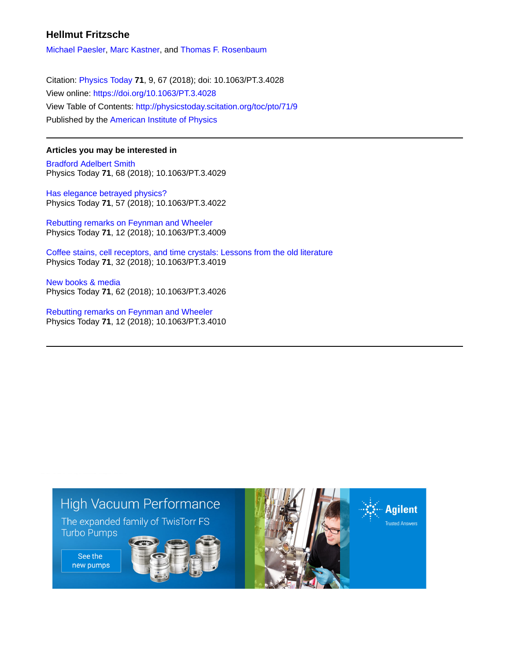## **Hellmut Fritzsche**

[Michael Paesler,](http://physicstoday.scitation.org/author/Paesler%2C+Michael) [Marc Kastner](http://physicstoday.scitation.org/author/Kastner%2C+Marc), and [Thomas F. Rosenbaum](http://physicstoday.scitation.org/author/Rosenbaum%2C+Thomas+F)

Citation: [Physics Today](/loi/pto) **71**, 9, 67 (2018); doi: 10.1063/PT.3.4028 View online: <https://doi.org/10.1063/PT.3.4028> View Table of Contents: <http://physicstoday.scitation.org/toc/pto/71/9> Published by the [American Institute of Physics](http://physicstoday.scitation.org/publisher/)

### **Articles you may be interested in**

[Bradford Adelbert Smith](http://physicstoday.scitation.org/doi/abs/10.1063/PT.3.4029) Physics Today **71**, 68 (2018); 10.1063/PT.3.4029

[Has elegance betrayed physics?](http://physicstoday.scitation.org/doi/abs/10.1063/PT.3.4022) Physics Today **71**, 57 (2018); 10.1063/PT.3.4022

[Rebutting remarks on Feynman and Wheeler](http://physicstoday.scitation.org/doi/abs/10.1063/PT.3.4009) Physics Today **71**, 12 (2018); 10.1063/PT.3.4009

[Coffee stains, cell receptors, and time crystals: Lessons from the old literature](http://physicstoday.scitation.org/doi/abs/10.1063/PT.3.4019) Physics Today **71**, 32 (2018); 10.1063/PT.3.4019

[New books & media](http://physicstoday.scitation.org/doi/abs/10.1063/PT.3.4026) Physics Today **71**, 62 (2018); 10.1063/PT.3.4026

[Rebutting remarks on Feynman and Wheeler](http://physicstoday.scitation.org/doi/abs/10.1063/PT.3.4010) Physics Today **71**, 12 (2018); 10.1063/PT.3.4010